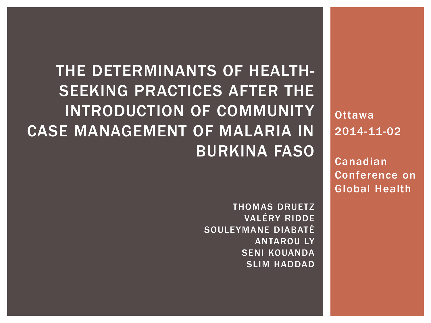**Ottawa** 2014-11-02

Canadian Conference on Global Health

### THE DETERMINANTS OF HEALTH-SEEKING PRACTICES AFTER THE INTRODUCTION OF COMMUNITY CASE MANAGEMENT OF MALARIA IN BURKINA FASO

THOMAS DRUETZ VALÉRY RIDDE SOULEYMANE DIABATÉ ANTAROU LY SENI KOUANDA SLIM HADDAD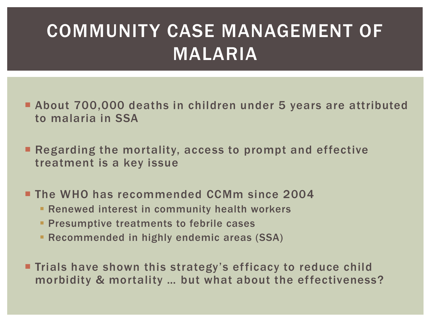# COMMUNITY CASE MANAGEMENT OF MALARIA

- About 700,000 deaths in children under 5 years are attributed to malaria in SSA
- **Regarding the mortality, access to prompt and effective** treatment is a key issue
- **The WHO has recommended CCMm since 2004** 
	- **Renewed interest in community health workers**
	- **Presumptive treatments to febrile cases**
	- Recommended in highly endemic areas (SSA)
- **Trials have shown this strategy's efficacy to reduce child** morbidity & mortality … but what about the effectiveness?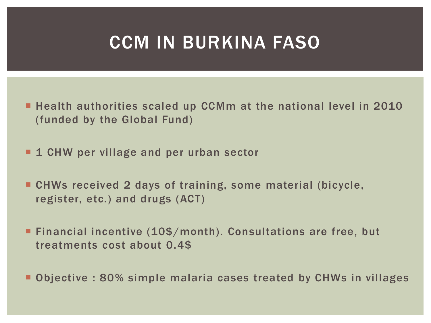### CCM IN BURKINA FASO

- **Health authorities scaled up CCMm at the national level in 2010** (funded by the Global Fund)
- **1 CHW per village and per urban sector**
- CHWs received 2 days of training, some material (bicycle, register, etc.) and drugs (ACT)
- Financial incentive (10\$/month). Consultations are free, but treatments cost about 0.4\$
- Objective : 80% simple malaria cases treated by CHWs in villages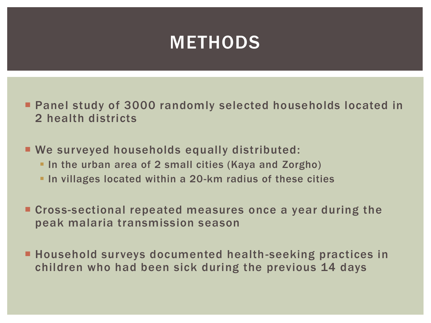### METHODS

 Panel study of 3000 randomly selected households located in 2 health districts

We surveyed households equally distributed:

- **In the urban area of 2 small cities (Kaya and Zorgho)**
- **In villages located within a 20-km radius of these cities**

 Cross-sectional repeated measures once a year during the peak malaria transmission season

 Household surveys documented health-seeking practices in children who had been sick during the previous 14 days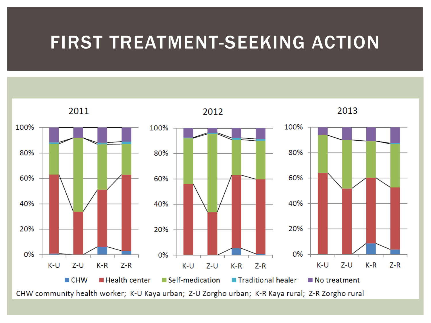#### FIRST TREATMENT-SEEKING ACTION

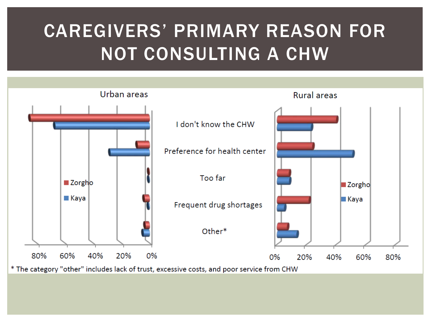# CAREGIVERS' PRIMARY REASON FOR NOT CONSULTING A CHW

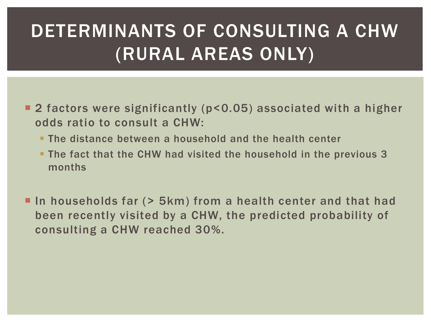# DETERMINANTS OF CONSULTING A CHW (RURAL AREAS ONLY)

- 2 factors were significantly (p<0.05) associated with a higher odds ratio to consult a CHW:
	- **The distance between a household and the health center**
	- The fact that the CHW had visited the household in the previous 3 months
- **In households far (> 5km) from a health center and that had** been recently visited by a CHW, the predicted probability of consulting a CHW reached 30%.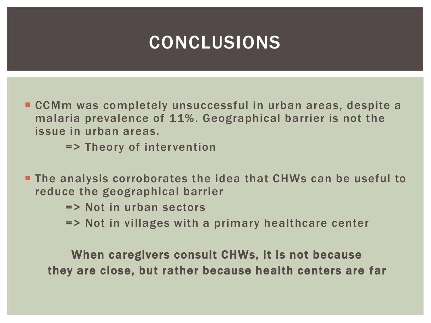## CONCLUSIONS

- CCMm was completely unsuccessful in urban areas, despite a malaria prevalence of 11%. Geographical barrier is not the issue in urban areas.
	- => Theory of intervention
- **The analysis corroborates the idea that CHWs can be useful to** reduce the geographical barrier
	- => Not in urban sectors
	- => Not in villages with a primary healthcare center

When caregivers consult CHWs, it is not because they are close, but rather because health centers are far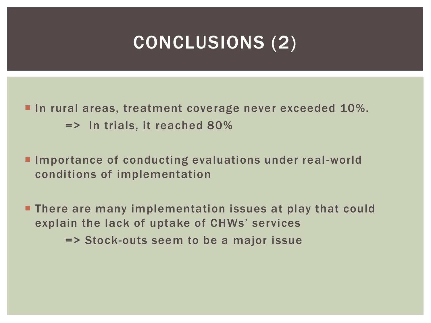## CONCLUSIONS (2)

In rural areas, treatment coverage never exceeded 10%. => In trials, it reached 80%

**Importance of conducting evaluations under real-world** conditions of implementation

**There are many implementation issues at play that could** explain the lack of uptake of CHWs' services => Stock-outs seem to be a major issue